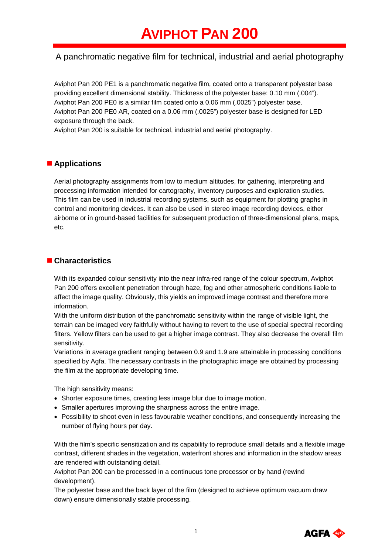# A panchromatic negative film for technical, industrial and aerial photography

Aviphot Pan 200 PE1 is a panchromatic negative film, coated onto a transparent polyester base providing excellent dimensional stability. Thickness of the polyester base: 0.10 mm (.004"). Aviphot Pan 200 PE0 is a similar film coated onto a 0.06 mm (.0025") polyester base. Aviphot Pan 200 PE0 AR, coated on a 0.06 mm (.0025") polyester base is designed for LED exposure through the back.

Aviphot Pan 200 is suitable for technical, industrial and aerial photography.

# ■ **Applications**

Aerial photography assignments from low to medium altitudes, for gathering, interpreting and processing information intended for cartography, inventory purposes and exploration studies. This film can be used in industrial recording systems, such as equipment for plotting graphs in control and monitoring devices. It can also be used in stereo image recording devices, either airborne or in ground-based facilities for subsequent production of three-dimensional plans, maps, etc.

## **Characteristics**

With its expanded colour sensitivity into the near infra-red range of the colour spectrum, Aviphot Pan 200 offers excellent penetration through haze, fog and other atmospheric conditions liable to affect the image quality. Obviously, this yields an improved image contrast and therefore more information.

With the uniform distribution of the panchromatic sensitivity within the range of visible light, the terrain can be imaged very faithfully without having to revert to the use of special spectral recording filters. Yellow filters can be used to get a higher image contrast. They also decrease the overall film sensitivity.

Variations in average gradient ranging between 0.9 and 1.9 are attainable in processing conditions specified by Agfa. The necessary contrasts in the photographic image are obtained by processing the film at the appropriate developing time.

The high sensitivity means:

- Shorter exposure times, creating less image blur due to image motion.
- Smaller apertures improving the sharpness across the entire image.
- Possibility to shoot even in less favourable weather conditions, and consequently increasing the number of flying hours per day.

With the film's specific sensitization and its capability to reproduce small details and a flexible image contrast, different shades in the vegetation, waterfront shores and information in the shadow areas are rendered with outstanding detail.

Aviphot Pan 200 can be processed in a continuous tone processor or by hand (rewind development).

The polyester base and the back layer of the film (designed to achieve optimum vacuum draw down) ensure dimensionally stable processing.

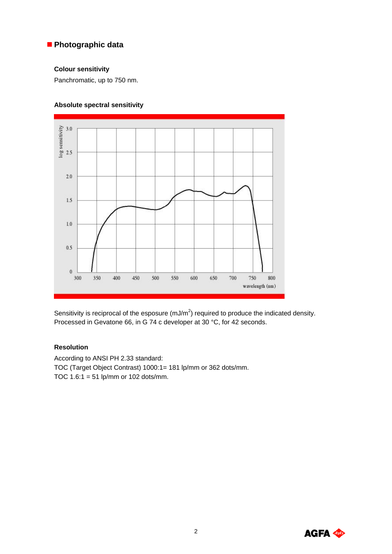## **Photographic data**

#### **Colour sensitivity**

Panchromatic, up to 750 nm.

### **Absolute spectral sensitivity**



Sensitivity is reciprocal of the esposure (mJ/m<sup>2</sup>) required to produce the indicated density. Processed in Gevatone 66, in G 74 c developer at 30 °C, for 42 seconds.

#### **Resolution**

According to ANSI PH 2.33 standard: TOC (Target Object Contrast) 1000:1= 181 lp/mm or 362 dots/mm. TOC  $1.6:1 = 51$  lp/mm or  $102$  dots/mm.

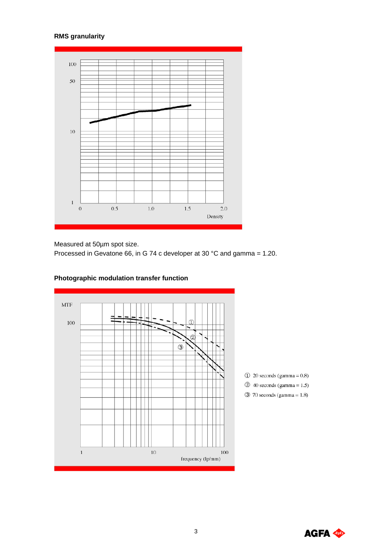# **RMS granularity**



Measured at 50µm spot size.

Processed in Gevatone 66, in G 74 c developer at 30 °C and gamma = 1.20.



# **Photographic modulation transfer function**

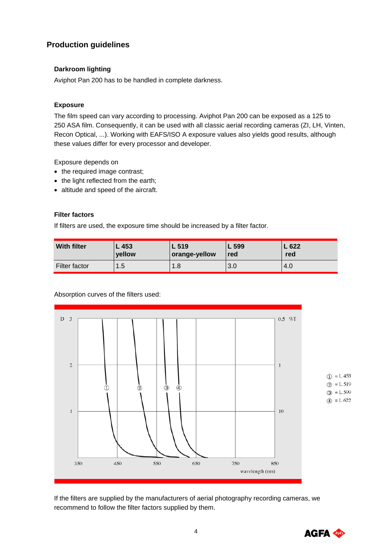# **Production guidelines**

#### **Darkroom lighting**

Aviphot Pan 200 has to be handled in complete darkness.

### **Exposure**

The film speed can vary according to processing. Aviphot Pan 200 can be exposed as a 125 to 250 ASA film. Consequently, it can be used with all classic aerial recording cameras (ZI, LH, Vinten, Recon Optical, ...). Working with EAFS/ISO A exposure values also yields good results, although these values differ for every processor and developer.

Exposure depends on

- the required image contrast;
- the light reflected from the earth;
- altitude and speed of the aircraft.

### **Filter factors**

If filters are used, the exposure time should be increased by a filter factor.

| <b>With filter</b> | L 453  | L 519         | L 599 | L622 |
|--------------------|--------|---------------|-------|------|
|                    | vellow | orange-yellow | red   | red  |
| Filter factor      | 1.5    | 1.8           | 3.0   | 4.U  |

#### Absorption curves of the filters used:



If the filters are supplied by the manufacturers of aerial photography recording cameras, we recommend to follow the filter factors supplied by them.

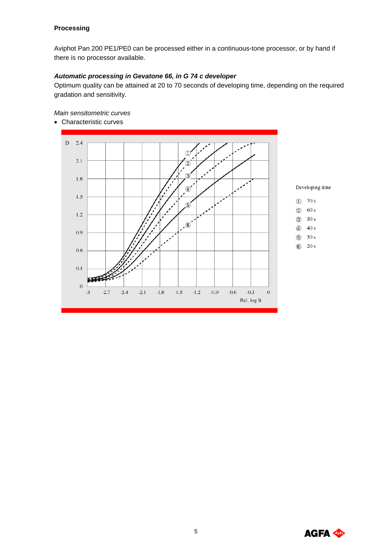#### **Processing**

Aviphot Pan 200 PE1/PE0 can be processed either in a continuous-tone processor, or by hand if there is no processor available.

### *Automatic processing in Gevatone 66, in G 74 c developer*

Optimum quality can be attained at 20 to 70 seconds of developing time, depending on the required gradation and sensitivity.

*Main sensitometric curves*

• Characteristic curves



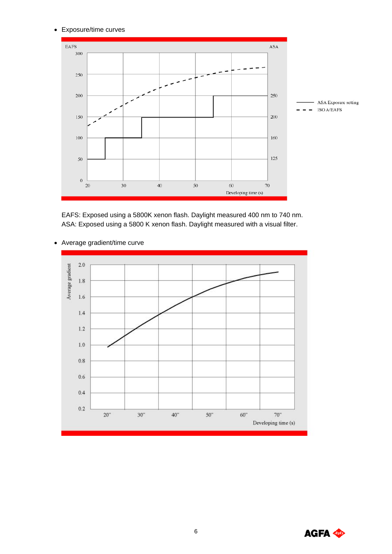#### • Exposure/time curves



EAFS: Exposed using a 5800K xenon flash. Daylight measured 400 nm to 740 nm. ASA: Exposed using a 5800 K xenon flash. Daylight measured with a visual filter.

#### • Average gradient/time curve



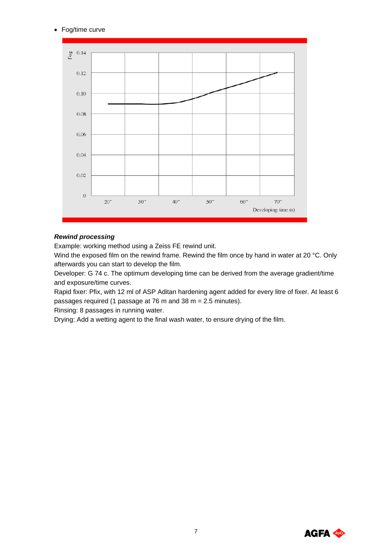• Fog/time curve



#### *Rewind processing*

Example: working method using a Zeiss FE rewind unit.

Wind the exposed film on the rewind frame. Rewind the film once by hand in water at 20 °C. Only afterwards you can start to develop the film.

Developer: G 74 c. The optimum developing time can be derived from the average gradient/time and exposure/time curves.

Rapid fixer: Pfix, with 12 ml of ASP Aditan hardening agent added for every litre of fixer. At least 6 passages required (1 passage at 76 m and 38 m = 2.5 minutes).

Rinsing: 8 passages in running water.

Drying: Add a wetting agent to the final wash water, to ensure drying of the film.

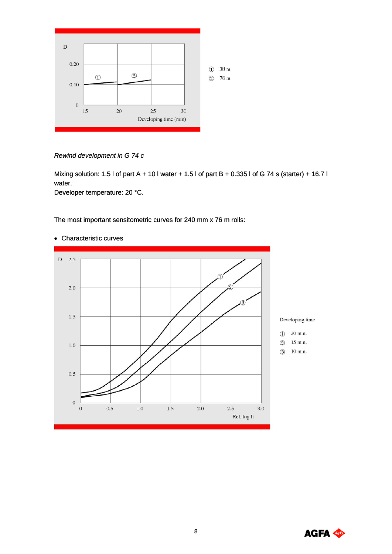

*Rewind development in G 74 c* 

Mixing solution: 1.5 l of part A + 10 l water + 1.5 l of part B + 0.335 l of G 74 s (starter) + 16.7 l water.

Developer temperature: 20 °C.

The most important sensitometric curves for 240 mm x 76 m rolls:



#### • Characteristic curves

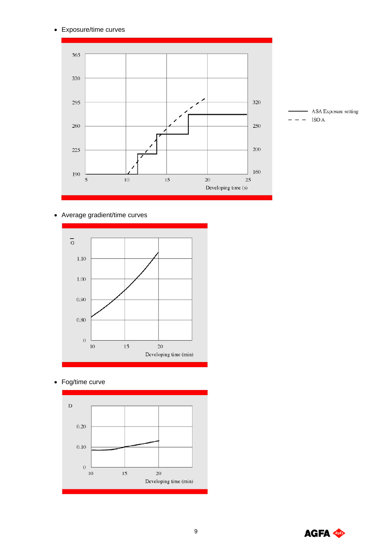• Exposure/time curves



• Average gradient/time curves



• Fog/time curve